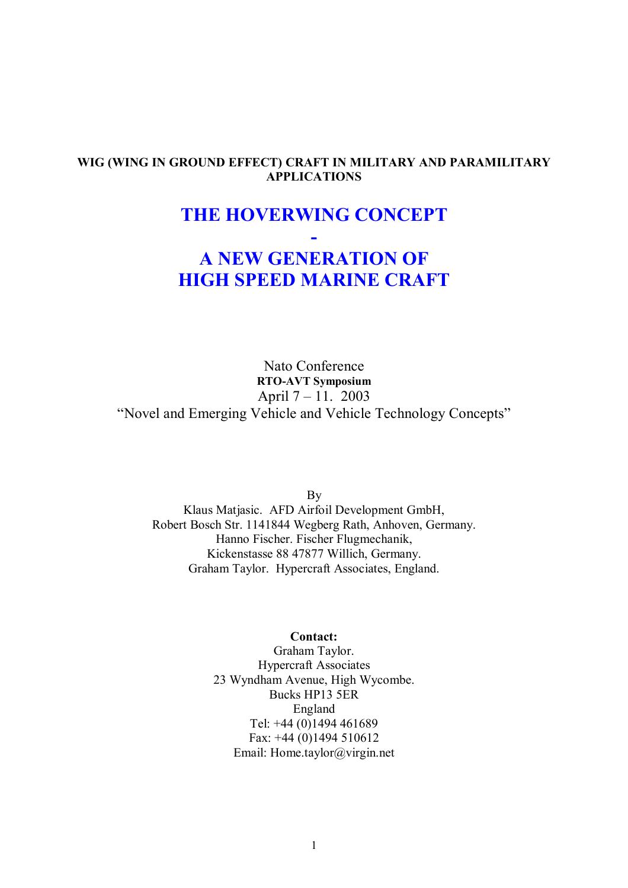## **WIG (WING IN GROUND EFFECT) CRAFT IN MILITARY AND PARAMILITARY APPLICATIONS**

## **THE HOVERWING CONCEPT**

**-** 

# **A NEW GENERATION OF HIGH SPEED MARINE CRAFT**

Nato Conference **RTO-AVT Symposium**  April  $7 - 11.2003$ "Novel and Emerging Vehicle and Vehicle Technology Concepts"

By

Klaus Matjasic. AFD Airfoil Development GmbH, Robert Bosch Str. 1141844 Wegberg Rath, Anhoven, Germany. Hanno Fischer. Fischer Flugmechanik, Kickenstasse 88 47877 Willich, Germany. Graham Taylor. Hypercraft Associates, England.

#### **Contact:**

Graham Taylor. Hypercraft Associates 23 Wyndham Avenue, High Wycombe. Bucks HP13 5ER England Tel: +44 (0)1494 461689 Fax: +44 (0)1494 510612 Email: Home.taylor@virgin.net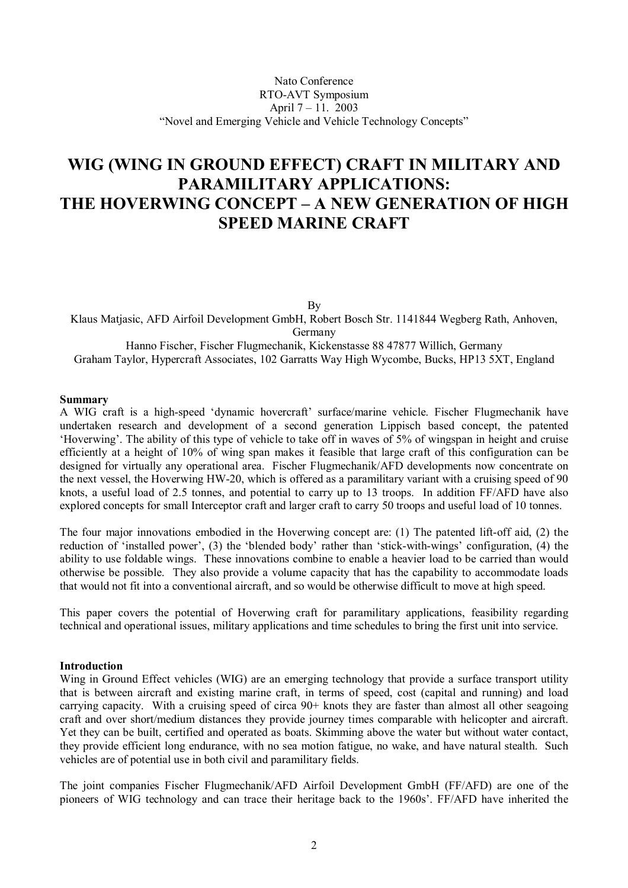## **WIG (WING IN GROUND EFFECT) CRAFT IN MILITARY AND PARAMILITARY APPLICATIONS:**  THE HOVERWING CONCEPT - A NEW GENERATION OF HIGH **SPEED MARINE CRAFT**

By

Klaus Matiasic, AFD Airfoil Development GmbH, Robert Bosch Str. 1141844 Wegberg Rath, Anhoven, Germany Hanno Fischer, Fischer Flugmechanik, Kickenstasse 88 47877 Willich, Germany

Graham Taylor, Hypercraft Associates, 102 Garratts Way High Wycombe, Bucks, HP13 5XT, England

## **Summary**

A WIG craft is a high-speed 'dynamic hovercraft' surface/marine vehicle. Fischer Flugmechanik have undertaken research and development of a second generation Lippisch based concept, the patented 'Hoverwing'. The ability of this type of vehicle to take off in waves of 5% of wingspan in height and cruise efficiently at a height of 10% of wing span makes it feasible that large craft of this configuration can be designed for virtually any operational area. Fischer Flugmechanik/AFD developments now concentrate on the next vessel, the Hoverwing HW-20, which is offered as a paramilitary variant with a cruising speed of 90 knots, a useful load of 2.5 tonnes, and potential to carry up to 13 troops. In addition FF/AFD have also explored concepts for small Interceptor craft and larger craft to carry 50 troops and useful load of 10 tonnes.

The four major innovations embodied in the Hoverwing concept are: (1) The patented lift-off aid, (2) the reduction of 'installed power', (3) the 'blended body' rather than 'stick-with-wings' configuration, (4) the ability to use foldable wings. These innovations combine to enable a heavier load to be carried than would otherwise be possible. They also provide a volume capacity that has the capability to accommodate loads that would not fit into a conventional aircraft, and so would be otherwise difficult to move at high speed.

This paper covers the potential of Hoverwing craft for paramilitary applications, feasibility regarding technical and operational issues, military applications and time schedules to bring the first unit into service.

## **Introduction**

Wing in Ground Effect vehicles (WIG) are an emerging technology that provide a surface transport utility that is between aircraft and existing marine craft, in terms of speed, cost (capital and running) and load carrying capacity. With a cruising speed of circa 90+ knots they are faster than almost all other seagoing craft and over short/medium distances they provide journey times comparable with helicopter and aircraft. Yet they can be built, certified and operated as boats. Skimming above the water but without water contact, they provide efficient long endurance, with no sea motion fatigue, no wake, and have natural stealth. Such vehicles are of potential use in both civil and paramilitary fields.

The joint companies Fischer Flugmechanik/AFD Airfoil Development GmbH (FF/AFD) are one of the pioneers of WIG technology and can trace their heritage back to the 1960s'. FF/AFD have inherited the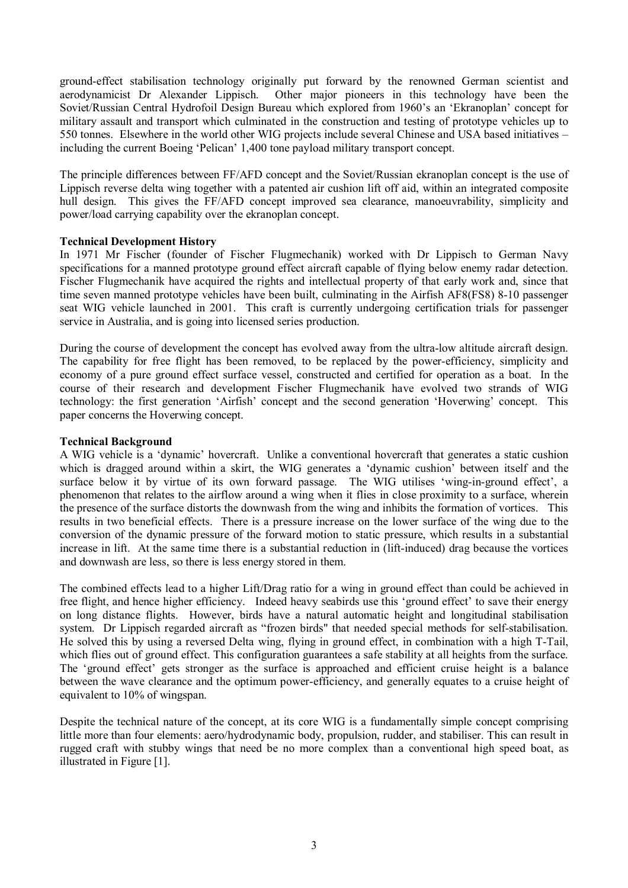ground-effect stabilisation technology originally put forward by the renowned German scientist and aerodynamicist Dr Alexander Lippisch. Other major pioneers in this technology have been the Soviet/Russian Central Hydrofoil Design Bureau which explored from 1960's an 'Ekranoplan' concept for military assault and transport which culminated in the construction and testing of prototype vehicles up to 550 tonnes. Elsewhere in the world other WIG projects include several Chinese and USA based initiatives – including the current Boeing 'Pelican' 1,400 tone payload military transport concept.

The principle differences between FF/AFD concept and the Soviet/Russian ekranoplan concept is the use of Lippisch reverse delta wing together with a patented air cushion lift off aid, within an integrated composite hull design. This gives the FF/AFD concept improved sea clearance, manoeuvrability, simplicity and power/load carrying capability over the ekranoplan concept.

## **Technical Development History**

In 1971 Mr Fischer (founder of Fischer Flugmechanik) worked with Dr Lippisch to German Navy specifications for a manned prototype ground effect aircraft capable of flying below enemy radar detection. Fischer Flugmechanik have acquired the rights and intellectual property of that early work and, since that time seven manned prototype vehicles have been built, culminating in the Airfish AF8(FS8) 8-10 passenger seat WIG vehicle launched in 2001. This craft is currently undergoing certification trials for passenger service in Australia, and is going into licensed series production.

During the course of development the concept has evolved away from the ultra-low altitude aircraft design. The capability for free flight has been removed, to be replaced by the power-efficiency, simplicity and economy of a pure ground effect surface vessel, constructed and certified for operation as a boat. In the course of their research and development Fischer Flugmechanik have evolved two strands of WIG technology: the first generation 'Airfish' concept and the second generation 'Hoverwing' concept. This paper concerns the Hoverwing concept.

## **Technical Background**

A WIG vehicle is a 'dynamic' hovercraft. Unlike a conventional hovercraft that generates a static cushion which is dragged around within a skirt, the WIG generates a 'dynamic cushion' between itself and the surface below it by virtue of its own forward passage. The WIG utilises 'wing-in-ground effect', a phenomenon that relates to the airflow around a wing when it flies in close proximity to a surface, wherein the presence of the surface distorts the downwash from the wing and inhibits the formation of vortices. This results in two beneficial effects. There is a pressure increase on the lower surface of the wing due to the conversion of the dynamic pressure of the forward motion to static pressure, which results in a substantial increase in lift. At the same time there is a substantial reduction in (lift-induced) drag because the vortices and downwash are less, so there is less energy stored in them.

The combined effects lead to a higher Lift/Drag ratio for a wing in ground effect than could be achieved in free flight, and hence higher efficiency. Indeed heavy seabirds use this 'ground effect' to save their energy on long distance flights. However, birds have a natural automatic height and longitudinal stabilisation system. Dr Lippisch regarded aircraft as "frozen birds" that needed special methods for self-stabilisation. He solved this by using a reversed Delta wing, flying in ground effect, in combination with a high T-Tail, which flies out of ground effect. This configuration guarantees a safe stability at all heights from the surface. The 'ground effect' gets stronger as the surface is approached and efficient cruise height is a balance between the wave clearance and the optimum power-efficiency, and generally equates to a cruise height of equivalent to 10% of wingspan.

Despite the technical nature of the concept, at its core WIG is a fundamentally simple concept comprising little more than four elements: aero/hydrodynamic body, propulsion, rudder, and stabiliser. This can result in rugged craft with stubby wings that need be no more complex than a conventional high speed boat, as illustrated in Figure [1].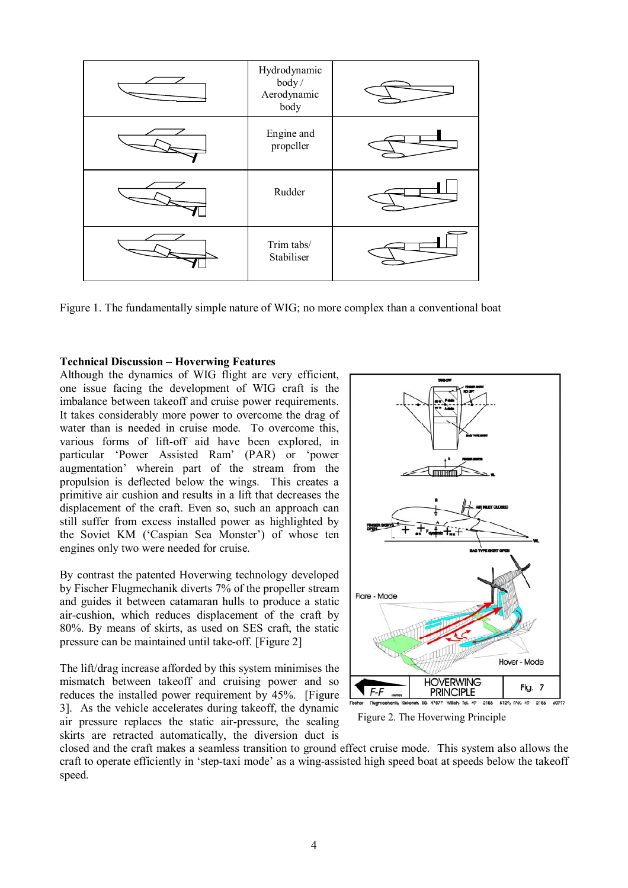

Figure 1. The fundamentally simple nature of WIG; no more complex than a conventional boat

#### **Technical Discussion – Hoverwing Features**

Although the dynamics of WIG flight are very efficient, one issue facing the development of WIG craft is the imbalance between takeoff and cruise power requirements. It takes considerably more power to overcome the drag of water than is needed in cruise mode. To overcome this, various forms of lift-off aid have been explored, in particular ëPower Assisted Ramí (PAR) or ëpower augmentation' wherein part of the stream from the propulsion is deflected below the wings. This creates a primitive air cushion and results in a lift that decreases the displacement of the craft. Even so, such an approach can still suffer from excess installed power as highlighted by the Soviet KM ('Caspian Sea Monster') of whose ten engines only two were needed for cruise.

By contrast the patented Hoverwing technology developed by Fischer Flugmechanik diverts 7% of the propeller stream and guides it between catamaran hulls to produce a static air-cushion, which reduces displacement of the craft by 80%. By means of skirts, as used on SES craft, the static pressure can be maintained until take-off. [Figure 2]

The lift/drag increase afforded by this system minimises the mismatch between takeoff and cruising power and so reduces the installed power requirement by 45%. [Figure 3]. As the vehicle accelerates during takeoff, the dynamic air pressure replaces the static air-pressure, the sealing skirts are retracted automatically, the diversion duct is



Figure 2. The Hoverwing Principle

closed and the craft makes a seamless transition to ground effect cruise mode. This system also allows the craft to operate efficiently in 'step-taxi mode' as a wing-assisted high speed boat at speeds below the takeoff speed.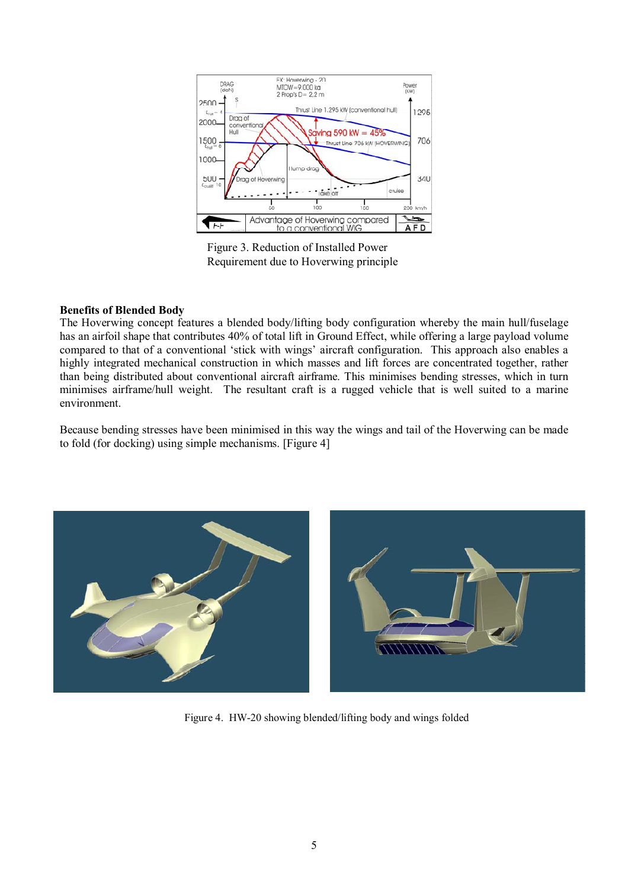

Figure 3. Reduction of Installed Power Requirement due to Hoverwing principle

## **Benefits of Blended Body**

The Hoverwing concept features a blended body/lifting body configuration whereby the main hull/fuselage has an airfoil shape that contributes 40% of total lift in Ground Effect, while offering a large payload volume compared to that of a conventional 'stick with wings' aircraft configuration. This approach also enables a highly integrated mechanical construction in which masses and lift forces are concentrated together, rather than being distributed about conventional aircraft airframe. This minimises bending stresses, which in turn minimises airframe/hull weight. The resultant craft is a rugged vehicle that is well suited to a marine environment.

Because bending stresses have been minimised in this way the wings and tail of the Hoverwing can be made to fold (for docking) using simple mechanisms. [Figure 4]



Figure 4. HW-20 showing blended/lifting body and wings folded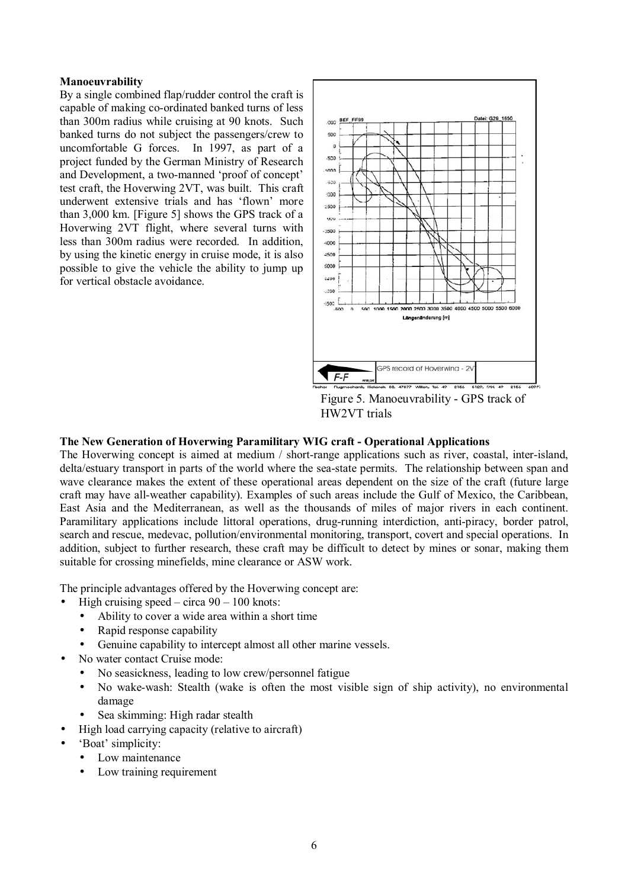### **Manoeuvrability**

By a single combined flap/rudder control the craft is capable of making co-ordinated banked turns of less than 300m radius while cruising at 90 knots. Such banked turns do not subject the passengers/crew to uncomfortable G forces. In 1997, as part of a project funded by the German Ministry of Research and Development, a two-manned 'proof of concept' test craft, the Hoverwing 2VT, was built. This craft underwent extensive trials and has 'flown' more than 3,000 km. [Figure 5] shows the GPS track of a Hoverwing 2VT flight, where several turns with less than 300m radius were recorded. In addition, by using the kinetic energy in cruise mode, it is also possible to give the vehicle the ability to jump up for vertical obstacle avoidance.



Figure 5. Manoeuvrability - GPS track of HW2VT trials

## **The New Generation of Hoverwing Paramilitary WIG craft - Operational Applications**

The Hoverwing concept is aimed at medium / short-range applications such as river, coastal, inter-island, delta/estuary transport in parts of the world where the sea-state permits. The relationship between span and wave clearance makes the extent of these operational areas dependent on the size of the craft (future large craft may have all-weather capability). Examples of such areas include the Gulf of Mexico, the Caribbean, East Asia and the Mediterranean, as well as the thousands of miles of major rivers in each continent. Paramilitary applications include littoral operations, drug-running interdiction, anti-piracy, border patrol, search and rescue, medevac, pollution/environmental monitoring, transport, covert and special operations. In addition, subject to further research, these craft may be difficult to detect by mines or sonar, making them suitable for crossing minefields, mine clearance or ASW work.

The principle advantages offered by the Hoverwing concept are:

- High cruising speed circa  $90 100$  knots:
	- Ability to cover a wide area within a short time
	- Rapid response capability
	- Genuine capability to intercept almost all other marine vessels.
	- No water contact Cruise mode:
		- No seasickness, leading to low crew/personnel fatigue
		- No wake-wash: Stealth (wake is often the most visible sign of ship activity), no environmental damage
		- Sea skimming: High radar stealth
- High load carrying capacity (relative to aircraft)
- 'Boat' simplicity:
	- Low maintenance
	- Low training requirement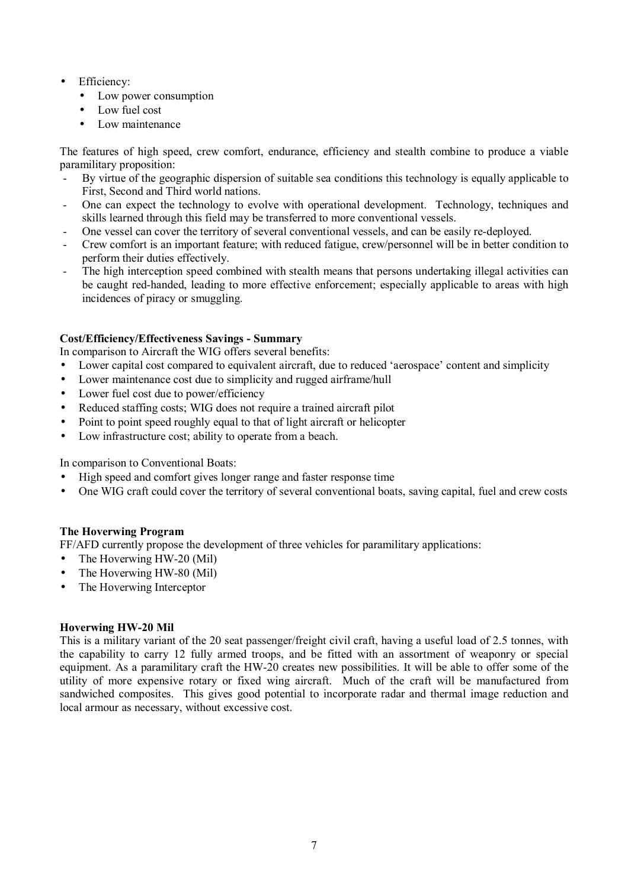- Efficiency:
	- Low power consumption
	- Low fuel cost
	- Low maintenance

The features of high speed, crew comfort, endurance, efficiency and stealth combine to produce a viable paramilitary proposition:

- By virtue of the geographic dispersion of suitable sea conditions this technology is equally applicable to First, Second and Third world nations.
- One can expect the technology to evolve with operational development. Technology, techniques and skills learned through this field may be transferred to more conventional vessels.
- One vessel can cover the territory of several conventional vessels, and can be easily re-deployed.
- Crew comfort is an important feature; with reduced fatigue, crew/personnel will be in better condition to perform their duties effectively.
- The high interception speed combined with stealth means that persons undertaking illegal activities can be caught red-handed, leading to more effective enforcement; especially applicable to areas with high incidences of piracy or smuggling.

## **Cost/Efficiency/Effectiveness Savings - Summary**

In comparison to Aircraft the WIG offers several benefits:

- Lower capital cost compared to equivalent aircraft, due to reduced 'aerospace' content and simplicity
- Lower maintenance cost due to simplicity and rugged airframe/hull
- Lower fuel cost due to power/efficiency
- Reduced staffing costs; WIG does not require a trained aircraft pilot
- Point to point speed roughly equal to that of light aircraft or helicopter
- Low infrastructure cost; ability to operate from a beach.

In comparison to Conventional Boats:

- High speed and comfort gives longer range and faster response time
- One WIG craft could cover the territory of several conventional boats, saving capital, fuel and crew costs

## **The Hoverwing Program**

FF/AFD currently propose the development of three vehicles for paramilitary applications:

- The Hoverwing HW-20 (Mil)
- The Hoverwing HW-80 (Mil)
- The Hoverwing Interceptor

## **Hoverwing HW-20 Mil**

This is a military variant of the 20 seat passenger/freight civil craft, having a useful load of 2.5 tonnes, with the capability to carry 12 fully armed troops, and be fitted with an assortment of weaponry or special equipment. As a paramilitary craft the HW-20 creates new possibilities. It will be able to offer some of the utility of more expensive rotary or fixed wing aircraft. Much of the craft will be manufactured from sandwiched composites. This gives good potential to incorporate radar and thermal image reduction and local armour as necessary, without excessive cost.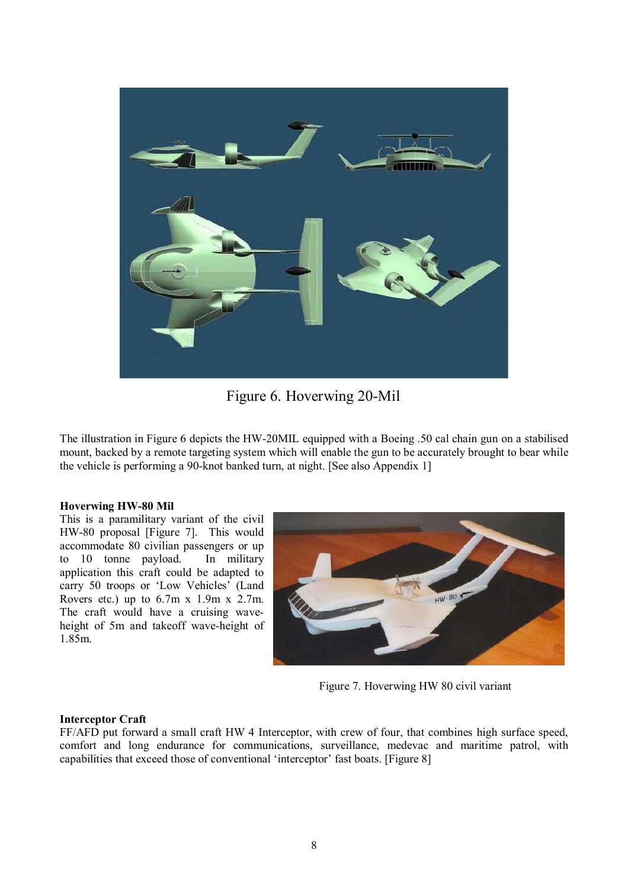

Figure 6. Hoverwing 20-Mil

The illustration in Figure 6 depicts the HW-20MIL equipped with a Boeing .50 cal chain gun on a stabilised mount, backed by a remote targeting system which will enable the gun to be accurately brought to bear while the vehicle is performing a 90-knot banked turn, at night. [See also Appendix 1]

## **Hoverwing HW-80 Mil**

This is a paramilitary variant of the civil HW-80 proposal [Figure 7]. This would accommodate 80 civilian passengers or up to 10 tonne payload. In military application this craft could be adapted to carry 50 troops or 'Low Vehicles' (Land Rovers etc.) up to  $6.7m \times 1.9m \times 2.7m$ . The craft would have a cruising waveheight of 5m and takeoff wave-height of 1.85m.



Figure 7. Hoverwing HW 80 civil variant

## **Interceptor Craft**

FF/AFD put forward a small craft HW 4 Interceptor, with crew of four, that combines high surface speed, comfort and long endurance for communications, surveillance, medevac and maritime patrol, with capabilities that exceed those of conventional 'interceptor' fast boats. [Figure 8]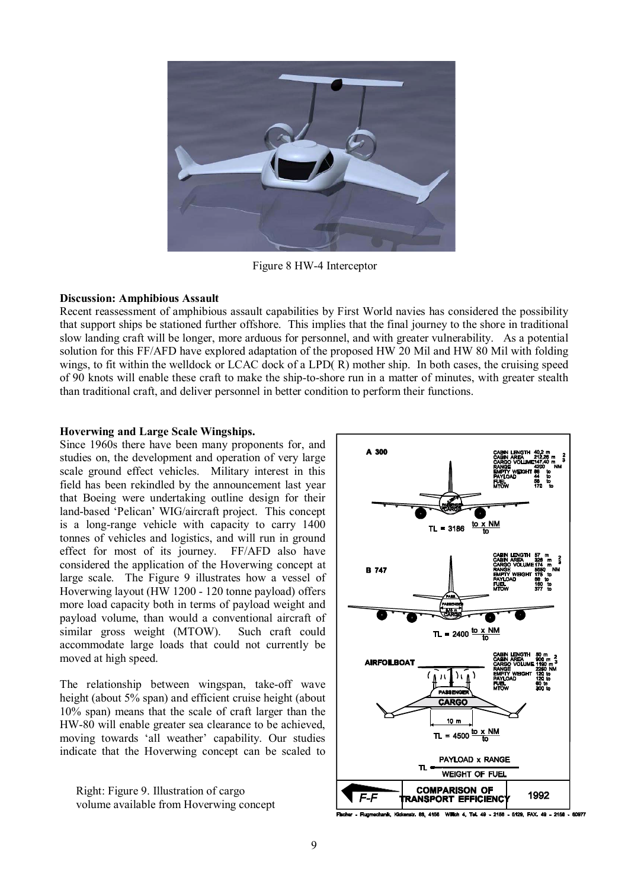

Figure 8 HW-4 Interceptor

#### **Discussion: Amphibious Assault**

Recent reassessment of amphibious assault capabilities by First World navies has considered the possibility that support ships be stationed further offshore. This implies that the final journey to the shore in traditional slow landing craft will be longer, more arduous for personnel, and with greater vulnerability. As a potential solution for this FF/AFD have explored adaptation of the proposed HW 20 Mil and HW 80 Mil with folding wings, to fit within the welldock or LCAC dock of a LPD(R) mother ship. In both cases, the cruising speed of 90 knots will enable these craft to make the ship-to-shore run in a matter of minutes, with greater stealth than traditional craft, and deliver personnel in better condition to perform their functions.

## **Hoverwing and Large Scale Wingships.**

Since 1960s there have been many proponents for, and studies on, the development and operation of very large scale ground effect vehicles. Military interest in this field has been rekindled by the announcement last year that Boeing were undertaking outline design for their land-based 'Pelican' WIG/aircraft project. This concept is a long-range vehicle with capacity to carry 1400 tonnes of vehicles and logistics, and will run in ground effect for most of its journey. FF/AFD also have considered the application of the Hoverwing concept at large scale. The Figure 9 illustrates how a vessel of Hoverwing layout (HW 1200 - 120 tonne payload) offers more load capacity both in terms of payload weight and payload volume, than would a conventional aircraft of similar gross weight (MTOW). Such craft could accommodate large loads that could not currently be moved at high speed.

The relationship between wingspan, take-off wave height (about 5% span) and efficient cruise height (about 10% span) means that the scale of craft larger than the HW-80 will enable greater sea clearance to be achieved, moving towards 'all weather' capability. Our studies indicate that the Hoverwing concept can be scaled to

Right: Figure 9. Illustration of cargo volume available from Hoverwing concept

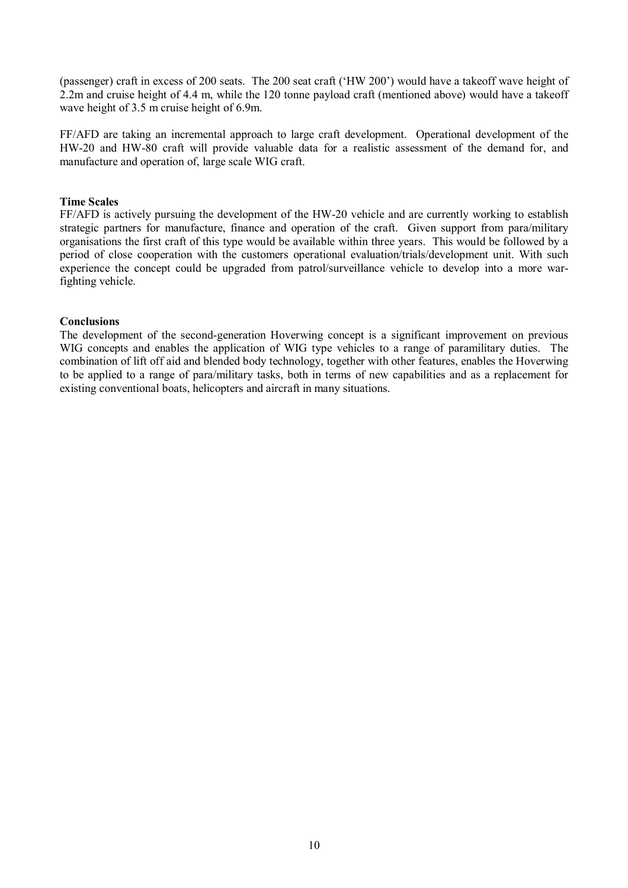(passenger) craft in excess of 200 seats. The 200 seat craft ('HW 200') would have a takeoff wave height of 2.2m and cruise height of 4.4 m, while the 120 tonne payload craft (mentioned above) would have a takeoff wave height of 3.5 m cruise height of 6.9m.

FF/AFD are taking an incremental approach to large craft development. Operational development of the HW-20 and HW-80 craft will provide valuable data for a realistic assessment of the demand for, and manufacture and operation of, large scale WIG craft.

## **Time Scales**

FF/AFD is actively pursuing the development of the HW-20 vehicle and are currently working to establish strategic partners for manufacture, finance and operation of the craft. Given support from para/military organisations the first craft of this type would be available within three years. This would be followed by a period of close cooperation with the customers operational evaluation/trials/development unit. With such experience the concept could be upgraded from patrol/surveillance vehicle to develop into a more warfighting vehicle.

## **Conclusions**

The development of the second-generation Hoverwing concept is a significant improvement on previous WIG concepts and enables the application of WIG type vehicles to a range of paramilitary duties. The combination of lift off aid and blended body technology, together with other features, enables the Hoverwing to be applied to a range of para/military tasks, both in terms of new capabilities and as a replacement for existing conventional boats, helicopters and aircraft in many situations.